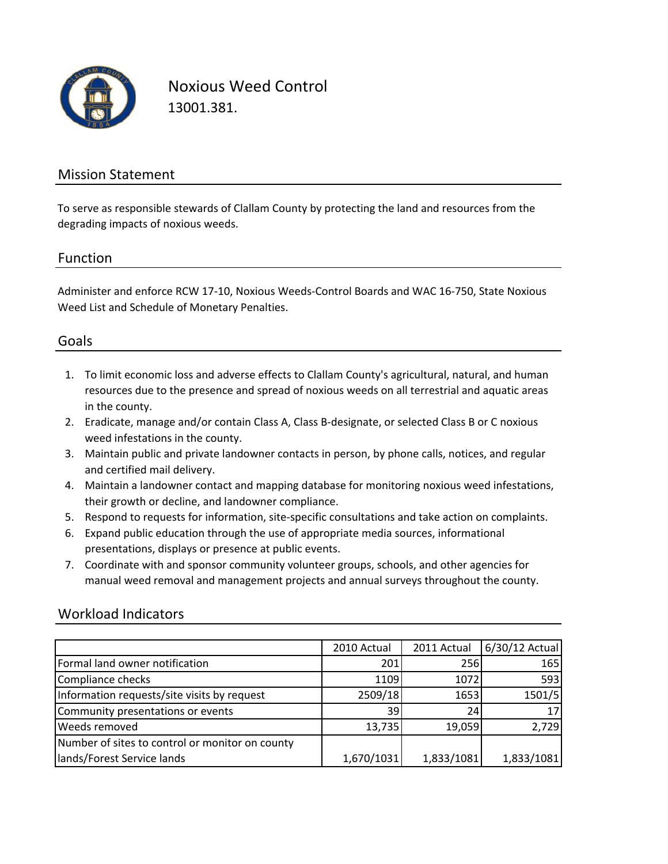

Noxious Weed Control 13001.381.

#### Mission Statement

To serve as responsible stewards of Clallam County by protecting the land and resources from the degrading impacts of noxious weeds.

#### Function

Administer and enforce RCW 17‐10, Noxious Weeds‐Control Boards and WAC 16‐750, State Noxious Weed List and Schedule of Monetary Penalties.

#### Goals

- 1. To limit economic loss and adverse effects to Clallam County's agricultural, natural, and human resources due to the presence and spread of noxious weeds on all terrestrial and aquatic areas in the county.
- 2. Eradicate, manage and/or contain Class A, Class B‐designate, or selected Class B or C noxious weed infestations in the county.
- 3. Maintain public and private landowner contacts in person, by phone calls, notices, and regular and certified mail delivery.
- 4. Maintain a landowner contact and mapping database for monitoring noxious weed infestations, their growth or decline, and landowner compliance.
- 5. Respond to requests for information, site‐specific consultations and take action on complaints.
- 6. Expand public education through the use of appropriate media sources, informational presentations, displays or presence at public events.
- 7. Coordinate with and sponsor community volunteer groups, schools, and other agencies for manual weed removal and management projects and annual surveys throughout the county.

### Workload Indicators

|                                                 | 2010 Actual | 2011 Actual | 6/30/12 Actual |
|-------------------------------------------------|-------------|-------------|----------------|
| Formal land owner notification                  | 201         | 256         | 165            |
| Compliance checks                               | 1109        | 1072        | 593            |
| Information requests/site visits by request     | 2509/18     | 1653        | 1501/5         |
| Community presentations or events               | 39          | 24          | 17             |
| <b>Weeds removed</b>                            | 13,735      | 19,059      | 2,729          |
| Number of sites to control or monitor on county |             |             |                |
| lands/Forest Service lands                      | 1,670/1031  | 1,833/1081  | 1,833/1081     |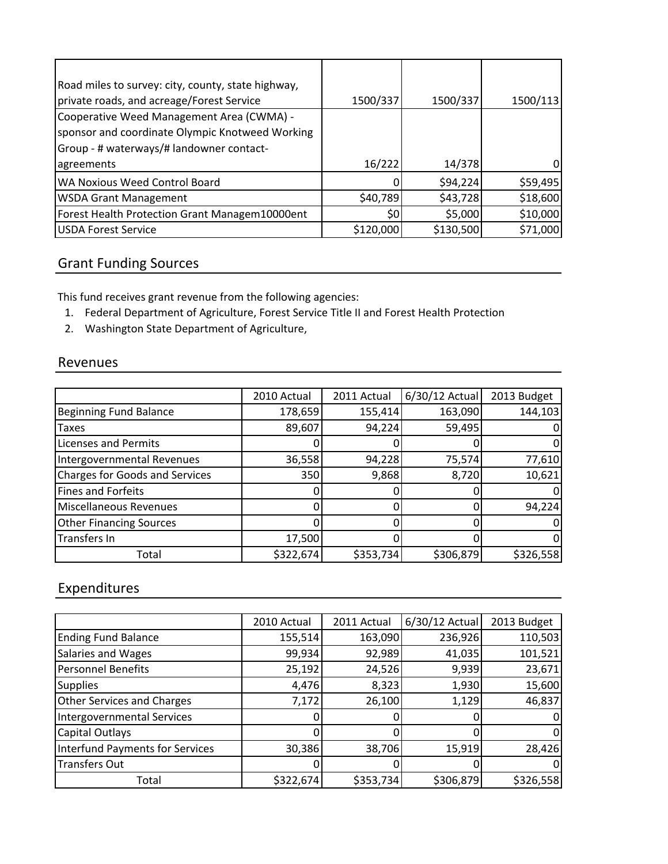| Road miles to survey: city, county, state highway, |                 |           |          |
|----------------------------------------------------|-----------------|-----------|----------|
| private roads, and acreage/Forest Service          | 1500/337        | 1500/337  | 1500/113 |
| Cooperative Weed Management Area (CWMA) -          |                 |           |          |
| sponsor and coordinate Olympic Knotweed Working    |                 |           |          |
| Group - # waterways/# landowner contact-           |                 |           |          |
| agreements                                         | 16/222          | 14/378    |          |
| WA Noxious Weed Control Board                      |                 | \$94,224  | \$59,495 |
| <b>WSDA Grant Management</b>                       | \$40,789        | \$43,728  | \$18,600 |
| Forest Health Protection Grant Managem10000ent     | 50 <sub>l</sub> | \$5,000   | \$10,000 |
| <b>USDA Forest Service</b>                         | \$120,000       | \$130,500 | \$71,000 |

## Grant Funding Sources

This fund receives grant revenue from the following agencies:

- 1. Federal Department of Agriculture, Forest Service Title II and Forest Health Protection
- 2. Washington State Department of Agriculture,

#### Revenues

|                                       | 2010 Actual | 2011 Actual | 6/30/12 Actual | 2013 Budget |
|---------------------------------------|-------------|-------------|----------------|-------------|
| <b>Beginning Fund Balance</b>         | 178,659     | 155,414     | 163,090        | 144,103     |
| <b>Taxes</b>                          | 89,607      | 94,224      | 59,495         |             |
| <b>Licenses and Permits</b>           |             |             |                |             |
| Intergovernmental Revenues            | 36,558      | 94,228      | 75,574         | 77,610      |
| <b>Charges for Goods and Services</b> | 350         | 9,868       | 8,720          | 10,621      |
| <b>Fines and Forfeits</b>             |             |             |                |             |
| <b>Miscellaneous Revenues</b>         |             |             |                | 94,224      |
| <b>Other Financing Sources</b>        |             |             |                |             |
| <b>Transfers In</b>                   | 17,500      |             |                |             |
| Total                                 | \$322,674   | \$353,734   | \$306,879      | \$326,558   |

# Expenditures

|                                        | 2010 Actual | 2011 Actual | 6/30/12 Actual | 2013 Budget |
|----------------------------------------|-------------|-------------|----------------|-------------|
| <b>Ending Fund Balance</b>             | 155,514     | 163,090     | 236,926        | 110,503     |
| Salaries and Wages                     | 99,934      | 92,989      | 41,035         | 101,521     |
| <b>Personnel Benefits</b>              | 25,192      | 24,526      | 9,939          | 23,671      |
| <b>Supplies</b>                        | 4,476       | 8,323       | 1,930          | 15,600      |
| <b>Other Services and Charges</b>      | 7,172       | 26,100      | 1,129          | 46,837      |
| <b>Intergovernmental Services</b>      |             |             |                |             |
| Capital Outlays                        | ი           |             |                |             |
| <b>Interfund Payments for Services</b> | 30,386      | 38,706      | 15,919         | 28,426      |
| <b>Transfers Out</b>                   |             |             |                | 0           |
| Total                                  | \$322,674   | \$353,734   | \$306,879      | \$326,558   |